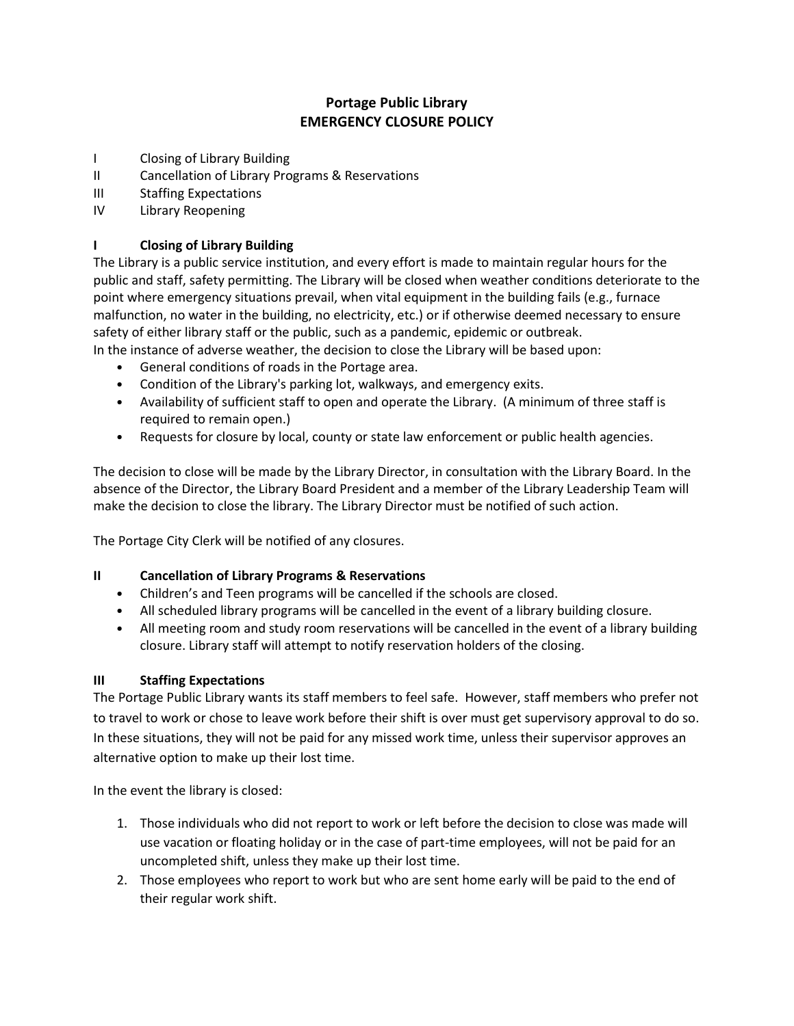# **Portage Public Library EMERGENCY CLOSURE POLICY**

- I Closing of Library Building
- II Cancellation of Library Programs & Reservations
- III Staffing Expectations
- IV Library Reopening

## **I Closing of Library Building**

The Library is a public service institution, and every effort is made to maintain regular hours for the public and staff, safety permitting. The Library will be closed when weather conditions deteriorate to the point where emergency situations prevail, when vital equipment in the building fails (e.g., furnace malfunction, no water in the building, no electricity, etc.) or if otherwise deemed necessary to ensure safety of either library staff or the public, such as a pandemic, epidemic or outbreak.

In the instance of adverse weather, the decision to close the Library will be based upon:

- General conditions of roads in the Portage area.
- Condition of the Library's parking lot, walkways, and emergency exits.
- Availability of sufficient staff to open and operate the Library. (A minimum of three staff is required to remain open.)
- Requests for closure by local, county or state law enforcement or public health agencies.

The decision to close will be made by the Library Director, in consultation with the Library Board. In the absence of the Director, the Library Board President and a member of the Library Leadership Team will make the decision to close the library. The Library Director must be notified of such action.

The Portage City Clerk will be notified of any closures.

### **II Cancellation of Library Programs & Reservations**

- Children's and Teen programs will be cancelled if the schools are closed.
- All scheduled library programs will be cancelled in the event of a library building closure.
- All meeting room and study room reservations will be cancelled in the event of a library building closure. Library staff will attempt to notify reservation holders of the closing.

### **III Staffing Expectations**

The Portage Public Library wants its staff members to feel safe. However, staff members who prefer not to travel to work or chose to leave work before their shift is over must get supervisory approval to do so. In these situations, they will not be paid for any missed work time, unless their supervisor approves an alternative option to make up their lost time.

In the event the library is closed:

- 1. Those individuals who did not report to work or left before the decision to close was made will use vacation or floating holiday or in the case of part-time employees, will not be paid for an uncompleted shift, unless they make up their lost time.
- 2. Those employees who report to work but who are sent home early will be paid to the end of their regular work shift.